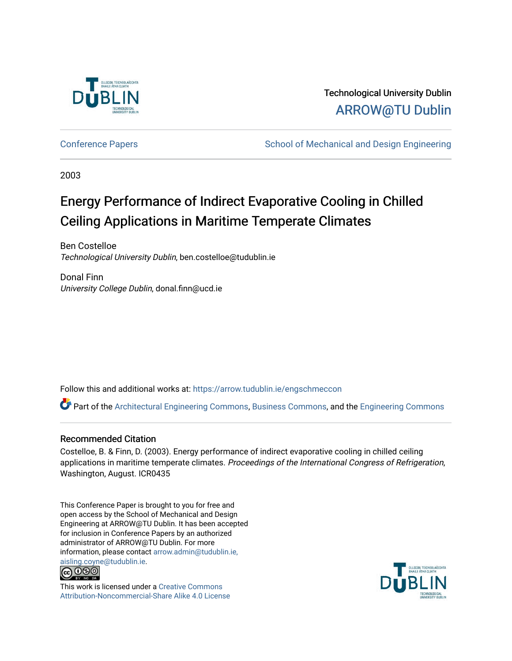

Technological University Dublin [ARROW@TU Dublin](https://arrow.tudublin.ie/) 

[Conference Papers](https://arrow.tudublin.ie/engschmeccon) **School of Mechanical and Design Engineering** School of Mechanical and Design Engineering

2003

# Energy Performance of Indirect Evaporative Cooling in Chilled Ceiling Applications in Maritime Temperate Climates

Ben Costelloe Technological University Dublin, ben.costelloe@tudublin.ie

Donal Finn University College Dublin, donal.finn@ucd.ie

Follow this and additional works at: [https://arrow.tudublin.ie/engschmeccon](https://arrow.tudublin.ie/engschmeccon?utm_source=arrow.tudublin.ie%2Fengschmeccon%2F67&utm_medium=PDF&utm_campaign=PDFCoverPages) 

Part of the [Architectural Engineering Commons](http://network.bepress.com/hgg/discipline/774?utm_source=arrow.tudublin.ie%2Fengschmeccon%2F67&utm_medium=PDF&utm_campaign=PDFCoverPages), [Business Commons,](http://network.bepress.com/hgg/discipline/622?utm_source=arrow.tudublin.ie%2Fengschmeccon%2F67&utm_medium=PDF&utm_campaign=PDFCoverPages) and the [Engineering Commons](http://network.bepress.com/hgg/discipline/217?utm_source=arrow.tudublin.ie%2Fengschmeccon%2F67&utm_medium=PDF&utm_campaign=PDFCoverPages) 

### Recommended Citation

Costelloe, B. & Finn, D. (2003). Energy performance of indirect evaporative cooling in chilled ceiling applications in maritime temperate climates. Proceedings of the International Congress of Refrigeration, Washington, August. ICR0435

This Conference Paper is brought to you for free and open access by the School of Mechanical and Design Engineering at ARROW@TU Dublin. It has been accepted for inclusion in Conference Papers by an authorized administrator of ARROW@TU Dublin. For more information, please contact [arrow.admin@tudublin.ie,](mailto:arrow.admin@tudublin.ie,%20aisling.coyne@tudublin.ie)  [aisling.coyne@tudublin.ie.](mailto:arrow.admin@tudublin.ie,%20aisling.coyne@tudublin.ie)<br>© 090



This work is licensed under a [Creative Commons](http://creativecommons.org/licenses/by-nc-sa/4.0/) [Attribution-Noncommercial-Share Alike 4.0 License](http://creativecommons.org/licenses/by-nc-sa/4.0/)

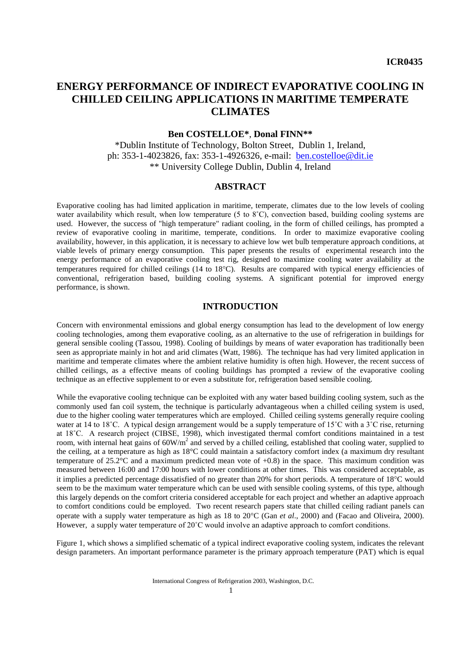## **ENERGY PERFORMANCE OF INDIRECT EVAPORATIVE COOLING IN CHILLED CEILING APPLICATIONS IN MARITIME TEMPERATE CLIMATES**

#### **Ben COSTELLOE\***, **Donal FINN\*\***

\*Dublin Institute of Technology, Bolton Street, Dublin 1, Ireland, ph: 353-1-4023826, fax: 353-1-4926326, e-mail: [ben.costelloe@dit.ie](mailto:ben.costelloe@dit.ie) \*\* University College Dublin, Dublin 4, Ireland

#### **ABSTRACT**

Evaporative cooling has had limited application in maritime, temperate, climates due to the low levels of cooling water availability which result, when low temperature (5 to  $8^{\circ}$ C), convection based, building cooling systems are used. However, the success of "high temperature" radiant cooling, in the form of chilled ceilings, has prompted a review of evaporative cooling in maritime, temperate, conditions. In order to maximize evaporative cooling availability, however, in this application, it is necessary to achieve low wet bulb temperature approach conditions, at viable levels of primary energy consumption. This paper presents the results of experimental research into the energy performance of an evaporative cooling test rig, designed to maximize cooling water availability at the temperatures required for chilled ceilings (14 to 18°C). Results are compared with typical energy efficiencies of conventional, refrigeration based, building cooling systems. A significant potential for improved energy performance, is shown.

#### **INTRODUCTION**

Concern with environmental emissions and global energy consumption has lead to the development of low energy cooling technologies, among them evaporative cooling, as an alternative to the use of refrigeration in buildings for general sensible cooling (Tassou, 1998). Cooling of buildings by means of water evaporation has traditionally been seen as appropriate mainly in hot and arid climates (Watt, 1986). The technique has had very limited application in maritime and temperate climates where the ambient relative humidity is often high. However, the recent success of chilled ceilings, as a effective means of cooling buildings has prompted a review of the evaporative cooling technique as an effective supplement to or even a substitute for, refrigeration based sensible cooling.

While the evaporative cooling technique can be exploited with any water based building cooling system, such as the commonly used fan coil system, the technique is particularly advantageous when a chilled ceiling system is used, due to the higher cooling water temperatures which are employed. Chilled ceiling systems generally require cooling water at 14 to 18°C. A typical design arrangement would be a supply temperature of 15°C with a 3°C rise, returning at 18˚C. A research project (CIBSE, 1998), which investigated thermal comfort conditions maintained in a test room, with internal heat gains of  $60W/m<sup>2</sup>$  and served by a chilled ceiling, established that cooling water, supplied to the ceiling, at a temperature as high as 18°C could maintain a satisfactory comfort index (a maximum dry resultant temperature of 25.2°C and a maximum predicted mean vote of +0.8) in the space. This maximum condition was measured between 16:00 and 17:00 hours with lower conditions at other times. This was considered acceptable, as it implies a predicted percentage dissatisfied of no greater than 20% for short periods. A temperature of 18°C would seem to be the maximum water temperature which can be used with sensible cooling systems, of this type, although this largely depends on the comfort criteria considered acceptable for each project and whether an adaptive approach to comfort conditions could be employed. Two recent research papers state that chilled ceiling radiant panels can operate with a supply water temperature as high as 18 to 20°C (Gan *et al*., 2000) and (Facao and Oliveira, 2000). However, a supply water temperature of 20˚C would involve an adaptive approach to comfort conditions.

Figure 1, which shows a simplified schematic of a typical indirect evaporative cooling system, indicates the relevant design parameters. An important performance parameter is the primary approach temperature (PAT) which is equal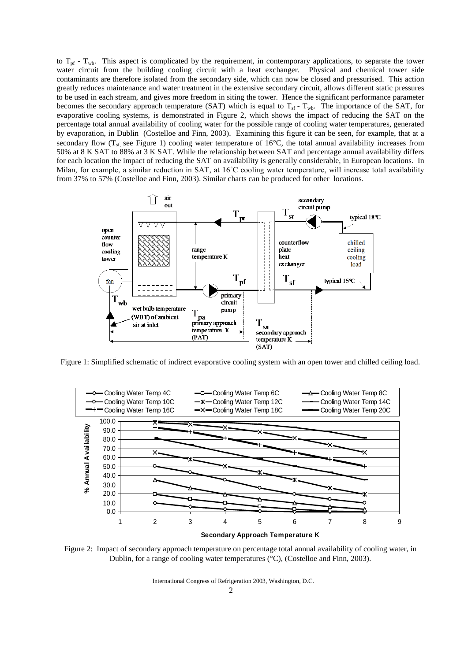to  $T_{\text{pf}}$  -  $T_{\text{wb}}$ . This aspect is complicated by the requirement, in contemporary applications, to separate the tower water circuit from the building cooling circuit with a heat exchanger. Physical and chemical tower side contaminants are therefore isolated from the secondary side, which can now be closed and pressurised. This action greatly reduces maintenance and water treatment in the extensive secondary circuit, allows different static pressures to be used in each stream, and gives more freedom in siting the tower. Hence the significant performance parameter becomes the secondary approach temperature (SAT) which is equal to  $T_{sf}$  -  $T_{wb}$ . The importance of the SAT, for evaporative cooling systems, is demonstrated in Figure 2, which shows the impact of reducing the SAT on the percentage total annual availability of cooling water for the possible range of cooling water temperatures, generated by evaporation, in Dublin (Costelloe and Finn, 2003). Examining this figure it can be seen, for example, that at a secondary flow ( $T_{sf}$ , see Figure 1) cooling water temperature of 16°C, the total annual availability increases from 50% at 8 K SAT to 88% at 3 K SAT. While the relationship between SAT and percentage annual availability differs for each location the impact of reducing the SAT on availability is generally considerable, in European locations. In Milan, for example, a similar reduction in SAT, at 16<sup>°</sup>C cooling water temperature, will increase total availability from 37% to 57% (Costelloe and Finn, 2003). Similar charts can be produced for other locations.



Figure 1: Simplified schematic of indirect evaporative cooling system with an open tower and chilled ceiling load.



Figure 2: Impact of secondary approach temperature on percentage total annual availability of cooling water, in Dublin, for a range of cooling water temperatures (°C), (Costelloe and Finn, 2003).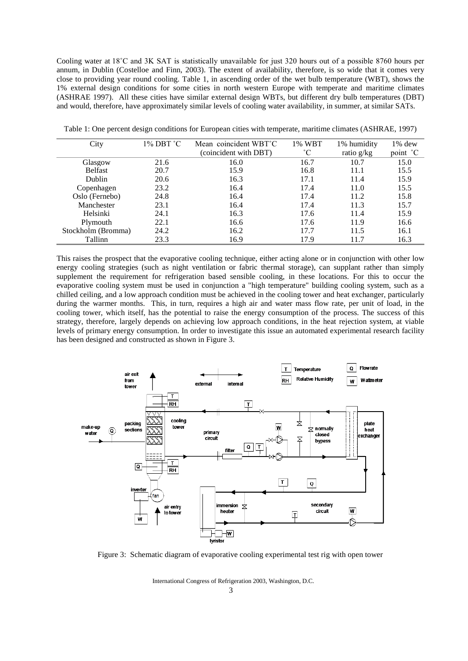Cooling water at 18˚C and 3K SAT is statistically unavailable for just 320 hours out of a possible 8760 hours per annum, in Dublin (Costelloe and Finn, 2003). The extent of availability, therefore, is so wide that it comes very close to providing year round cooling. Table 1, in ascending order of the wet bulb temperature (WBT), shows the 1% external design conditions for some cities in north western Europe with temperate and maritime climates (ASHRAE 1997). All these cities have similar external design WBTs, but different dry bulb temperatures (DBT) and would, therefore, have approximately similar levels of cooling water availability, in summer, at similar SATs.

| City               | 1% DBT °C | Mean coincident WBT <sup>°</sup> C | 1% WBT       | 1% humidity | 1% dew   |
|--------------------|-----------|------------------------------------|--------------|-------------|----------|
|                    |           | (coincident with DBT)              | $^{\circ}$ C | ratio g/kg  | point °C |
| Glasgow            | 21.6      | 16.0                               | 16.7         | 10.7        | 15.0     |
| <b>Belfast</b>     | 20.7      | 15.9                               | 16.8         | 11.1        | 15.5     |
| Dublin             | 20.6      | 16.3                               | 17.1         | 11.4        | 15.9     |
| Copenhagen         | 23.2      | 16.4                               | 17.4         | 11.0        | 15.5     |
| Oslo (Fernebo)     | 24.8      | 16.4                               | 17.4         | 11.2        | 15.8     |
| Manchester         | 23.1      | 16.4                               | 17.4         | 11.3        | 15.7     |
| Helsinki           | 24.1      | 16.3                               | 17.6         | 11.4        | 15.9     |
| Plymouth           | 22.1      | 16.6                               | 17.6         | 11.9        | 16.6     |
| Stockholm (Bromma) | 24.2      | 16.2                               | 17.7         | 11.5        | 16.1     |
| Tallinn            | 23.3      | 16.9                               | 17.9         | 11.7        | 16.3     |

Table 1: One percent design conditions for European cities with temperate, maritime climates (ASHRAE, 1997)

This raises the prospect that the evaporative cooling technique, either acting alone or in conjunction with other low energy cooling strategies (such as night ventilation or fabric thermal storage), can supplant rather than simply supplement the requirement for refrigeration based sensible cooling, in these locations. For this to occur the evaporative cooling system must be used in conjunction a "high temperature" building cooling system, such as a chilled ceiling, and a low approach condition must be achieved in the cooling tower and heat exchanger, particularly during the warmer months. This, in turn, requires a high air and water mass flow rate, per unit of load, in the cooling tower, which itself, has the potential to raise the energy consumption of the process. The success of this strategy, therefore, largely depends on achieving low approach conditions, in the heat rejection system, at viable levels of primary energy consumption. In order to investigate this issue an automated experimental research facility has been designed and constructed as shown in Figure 3.



Figure 3: Schematic diagram of evaporative cooling experimental test rig with open tower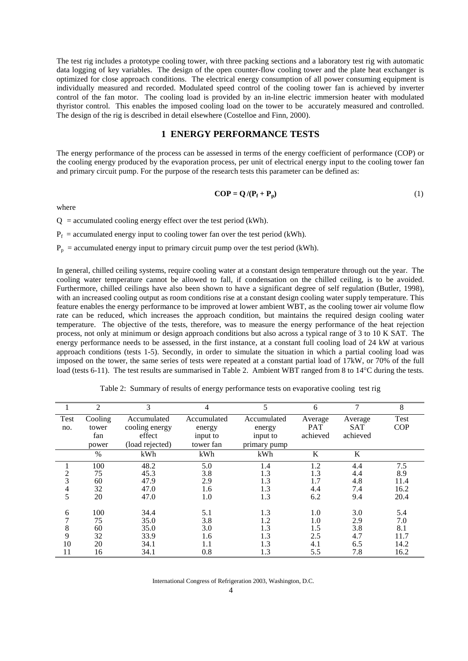The test rig includes a prototype cooling tower, with three packing sections and a laboratory test rig with automatic data logging of key variables. The design of the open counter-flow cooling tower and the plate heat exchanger is optimized for close approach conditions. The electrical energy consumption of all power consuming equipment is individually measured and recorded. Modulated speed control of the cooling tower fan is achieved by inverter control of the fan motor. The cooling load is provided by an in-line electric immersion heater with modulated thyristor control. This enables the imposed cooling load on the tower to be accurately measured and controlled. The design of the rig is described in detail elsewhere (Costelloe and Finn, 2000).

#### **1 ENERGY PERFORMANCE TESTS**

The energy performance of the process can be assessed in terms of the energy coefficient of performance (COP) or the cooling energy produced by the evaporation process, per unit of electrical energy input to the cooling tower fan and primary circuit pump. For the purpose of the research tests this parameter can be defined as:

$$
\text{COP} = Q / (P_f + P_p) \tag{1}
$$

where

 $Q =$  accumulated cooling energy effect over the test period (kWh).

 $P_f$  = accumulated energy input to cooling tower fan over the test period (kWh).

 $P_p$  = accumulated energy input to primary circuit pump over the test period (kWh).

In general, chilled ceiling systems, require cooling water at a constant design temperature through out the year. The cooling water temperature cannot be allowed to fall, if condensation on the chilled ceiling, is to be avoided. Furthermore, chilled ceilings have also been shown to have a significant degree of self regulation (Butler, 1998), with an increased cooling output as room conditions rise at a constant design cooling water supply temperature. This feature enables the energy performance to be improved at lower ambient WBT, as the cooling tower air volume flow rate can be reduced, which increases the approach condition, but maintains the required design cooling water temperature. The objective of the tests, therefore, was to measure the energy performance of the heat rejection process, not only at minimum or design approach conditions but also across a typical range of 3 to 10 K SAT. The energy performance needs to be assessed, in the first instance, at a constant full cooling load of 24 kW at various approach conditions (tests 1-5). Secondly, in order to simulate the situation in which a partial cooling load was imposed on the tower, the same series of tests were repeated at a constant partial load of 17kW, or 70% of the full load (tests 6-11). The test results are summarised in Table 2. Ambient WBT ranged from 8 to 14°C during the tests.

Table 2: Summary of results of energy performance tests on evaporative cooling test rig

|                | 2       | 3               | 4           | 5            | 6          | 7          | 8          |
|----------------|---------|-----------------|-------------|--------------|------------|------------|------------|
| Test           | Cooling | Accumulated     | Accumulated | Accumulated  | Average    | Average    | Test       |
| no.            | tower   | cooling energy  | energy      | energy       | <b>PAT</b> | <b>SAT</b> | <b>COP</b> |
|                | fan     | effect          | input to    | input to     | achieved   | achieved   |            |
|                | power   | (load rejected) | tower fan   | primary pump |            |            |            |
|                | $\%$    | kWh             | kWh         | kWh          | K          | K          |            |
|                | 100     | 48.2            | 5.0         | 1.4          | 1.2        | 4.4        | 7.5        |
| $\overline{c}$ | 75      | 45.3            | 3.8         | 1.3          | 1.3        | 4.4        | 8.9        |
| 3              | 60      | 47.9            | 2.9         | 1.3          | 1.7        | 4.8        | 11.4       |
| 4              | 32      | 47.0            | 1.6         | 1.3          | 4.4        | 7.4        | 16.2       |
| 5              | 20      | 47.0            | 1.0         | 1.3          | 6.2        | 9.4        | 20.4       |
| 6              | 100     | 34.4            | 5.1         | 1.3          | 1.0        | 3.0        | 5.4        |
| 7              | 75      | 35.0            | 3.8         | 1.2          | 1.0        | 2.9        | 7.0        |
| 8              | 60      | 35.0            | 3.0         | 1.3          | 1.5        | 3.8        | 8.1        |
| 9              | 32      | 33.9            | 1.6         | 1.3          | 2.5        | 4.7        | 11.7       |
| 10             | 20      | 34.1            | 1.1         | 1.3          | 4.1        | 6.5        | 14.2       |
| 11             | 16      | 34.1            | 0.8         | 1.3          | 5.5        | 7.8        | 16.2       |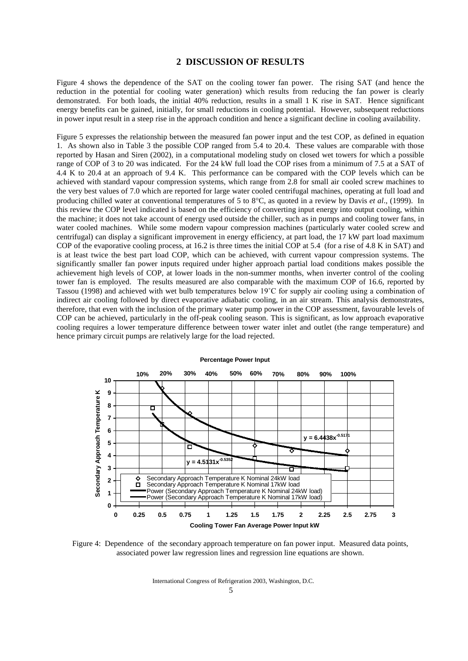#### **2 DISCUSSION OF RESULTS**

Figure 4 shows the dependence of the SAT on the cooling tower fan power. The rising SAT (and hence the reduction in the potential for cooling water generation) which results from reducing the fan power is clearly demonstrated. For both loads, the initial 40% reduction, results in a small 1 K rise in SAT. Hence significant energy benefits can be gained, initially, for small reductions in cooling potential. However, subsequent reductions in power input result in a steep rise in the approach condition and hence a significant decline in cooling availability.

Figure 5 expresses the relationship between the measured fan power input and the test COP, as defined in equation 1. As shown also in Table 3 the possible COP ranged from 5.4 to 20.4. These values are comparable with those reported by Hasan and Siren (2002), in a computational modeling study on closed wet towers for which a possible range of COP of 3 to 20 was indicated. For the 24 kW full load the COP rises from a minimum of 7.5 at a SAT of 4.4 K to 20.4 at an approach of 9.4 K. This performance can be compared with the COP levels which can be achieved with standard vapour compression systems, which range from 2.8 for small air cooled screw machines to the very best values of 7.0 which are reported for large water cooled centrifugal machines, operating at full load and producing chilled water at conventional temperatures of 5 to 8°C, as quoted in a review by Davis *et al*., (1999). In this review the COP level indicated is based on the efficiency of converting input energy into output cooling, within the machine; it does not take account of energy used outside the chiller, such as in pumps and cooling tower fans, in water cooled machines. While some modern vapour compression machines (particularly water cooled screw and centrifugal) can display a significant improvement in energy efficiency, at part load, the 17 kW part load maximum COP of the evaporative cooling process, at 16.2 is three times the initial COP at 5.4 (for a rise of 4.8 K in SAT) and is at least twice the best part load COP, which can be achieved, with current vapour compression systems. The significantly smaller fan power inputs required under higher approach partial load conditions makes possible the achievement high levels of COP, at lower loads in the non-summer months, when inverter control of the cooling tower fan is employed. The results measured are also comparable with the maximum COP of 16.6, reported by Tassou (1998) and achieved with wet bulb temperatures below 19˚C for supply air cooling using a combination of indirect air cooling followed by direct evaporative adiabatic cooling, in an air stream. This analysis demonstrates, therefore, that even with the inclusion of the primary water pump power in the COP assessment, favourable levels of COP can be achieved, particularly in the off-peak cooling season. This is significant, as low approach evaporative cooling requires a lower temperature difference between tower water inlet and outlet (the range temperature) and hence primary circuit pumps are relatively large for the load rejected.



Figure 4: Dependence of the secondary approach temperature on fan power input. Measured data points, associated power law regression lines and regression line equations are shown.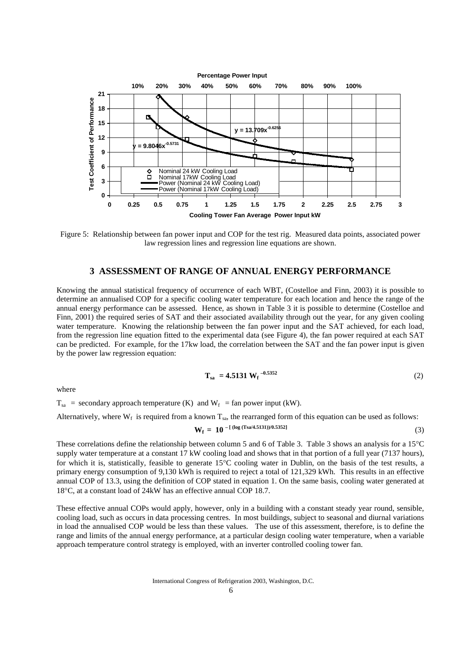

Figure 5: Relationship between fan power input and COP for the test rig. Measured data points, associated power law regression lines and regression line equations are shown.

#### **3 ASSESSMENT OF RANGE OF ANNUAL ENERGY PERFORMANCE**

Knowing the annual statistical frequency of occurrence of each WBT, (Costelloe and Finn, 2003) it is possible to determine an annualised COP for a specific cooling water temperature for each location and hence the range of the annual energy performance can be assessed. Hence, as shown in Table 3 it is possible to determine (Costelloe and Finn, 2001) the required series of SAT and their associated availability through out the year, for any given cooling water temperature. Knowing the relationship between the fan power input and the SAT achieved, for each load, from the regression line equation fitted to the experimental data (see Figure 4), the fan power required at each SAT can be predicted. For example, for the 17kw load, the correlation between the SAT and the fan power input is given by the power law regression equation:

$$
T_{sa} = 4.5131 W_f^{-0.5352}
$$
 (2)

where

 $T_{sa}$  = secondary approach temperature (K) and  $W_f$  = fan power input (kW).

Alternatively, where  $W_f$  is required from a known  $T_{sa}$ , the rearranged form of this equation can be used as follows:

$$
W_f = 10^{-[(\log (Tsa/4.5131))/0.5352]}
$$
 (3)

These correlations define the relationship between column 5 and 6 of Table 3. Table 3 shows an analysis for a 15°C supply water temperature at a constant 17 kW cooling load and shows that in that portion of a full year (7137 hours), for which it is, statistically, feasible to generate 15°C cooling water in Dublin, on the basis of the test results, a primary energy consumption of 9,130 kWh is required to reject a total of 121,329 kWh. This results in an effective annual COP of 13.3, using the definition of COP stated in equation 1. On the same basis, cooling water generated at 18°C, at a constant load of 24kW has an effective annual COP 18.7.

These effective annual COPs would apply, however, only in a building with a constant steady year round, sensible, cooling load, such as occurs in data processing centres. In most buildings, subject to seasonal and diurnal variations in load the annualised COP would be less than these values. The use of this assessment, therefore, is to define the range and limits of the annual energy performance, at a particular design cooling water temperature, when a variable approach temperature control strategy is employed, with an inverter controlled cooling tower fan.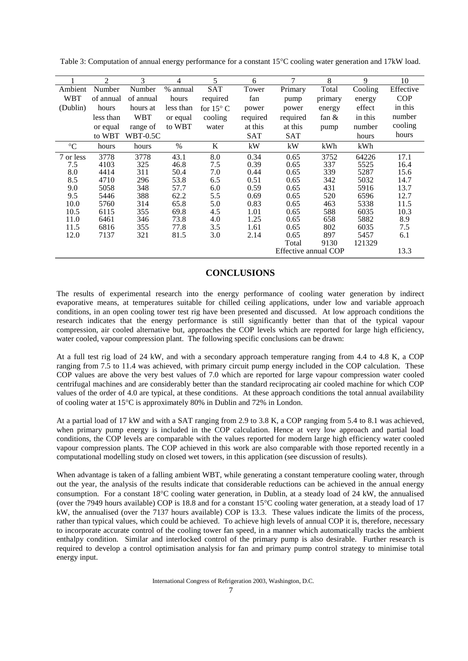|                 | $\overline{c}$       | 3               | 4         | 5                  | 6          | 7          | 8        | 9       | 10         |
|-----------------|----------------------|-----------------|-----------|--------------------|------------|------------|----------|---------|------------|
| Ambient         | Number               | Number          | % annual  | <b>SAT</b>         | Tower      | Primary    | Total    | Cooling | Effective  |
| <b>WBT</b>      | of annual            | of annual       | hours     | required           | fan        | pump       | primary  | energy  | <b>COP</b> |
| (Dublin)        | hours                | hours at        | less than | for $15^{\circ}$ C | power      | power      | energy   | effect  | in this    |
|                 | less than            | <b>WBT</b>      | or equal  | cooling            | required   | required   | fan $\&$ | in this | number     |
|                 | or equal             | range of        | to WBT    | water              | at this    | at this    | pump     | number  | cooling    |
|                 | to WBT               | <b>WBT-0.5C</b> |           |                    | <b>SAT</b> | <b>SAT</b> |          | hours   | hours      |
| $\rm ^{\circ}C$ | hours                | hours           | $\%$      | K                  | kW         | kW         | kWh      | kWh     |            |
| 7 or less       | 3778                 | 3778            | 43.1      | 8.0                | 0.34       | 0.65       | 3752     | 64226   | 17.1       |
| 7.5             | 4103                 | 325             | 46.8      | 7.5                | 0.39       | 0.65       | 337      | 5525    | 16.4       |
| 8.0             | 4414                 | 311             | 50.4      | 7.0                | 0.44       | 0.65       | 339      | 5287    | 15.6       |
| 8.5             | 4710                 | 296             | 53.8      | 6.5                | 0.51       | 0.65       | 342      | 5032    | 14.7       |
| 9.0             | 5058                 | 348             | 57.7      | 6.0                | 0.59       | 0.65       | 431      | 5916    | 13.7       |
| 9.5             | 5446                 | 388             | 62.2      | 5.5                | 0.69       | 0.65       | 520      | 6596    | 12.7       |
| 10.0            | 5760                 | 314             | 65.8      | 5.0                | 0.83       | 0.65       | 463      | 5338    | 11.5       |
| 10.5            | 6115                 | 355             | 69.8      | 4.5                | 1.01       | 0.65       | 588      | 6035    | 10.3       |
| 11.0            | 6461                 | 346             | 73.8      | 4.0                | 1.25       | 0.65       | 658      | 5882    | 8.9        |
| 11.5            | 6816                 | 355             | 77.8      | 3.5                | 1.61       | 0.65       | 802      | 6035    | 7.5        |
| 12.0            | 7137                 | 321             | 81.5      | 3.0                | 2.14       | 0.65       | 897      | 5457    | 6.1        |
|                 |                      |                 |           |                    |            | Total      | 9130     | 121329  |            |
|                 | Effective annual COP |                 |           |                    |            | 13.3       |          |         |            |

Table 3: Computation of annual energy performance for a constant 15°C cooling water generation and 17kW load.

#### **CONCLUSIONS**

The results of experimental research into the energy performance of cooling water generation by indirect evaporative means, at temperatures suitable for chilled ceiling applications, under low and variable approach conditions, in an open cooling tower test rig have been presented and discussed. At low approach conditions the research indicates that the energy performance is still significantly better than that of the typical vapour compression, air cooled alternative but, approaches the COP levels which are reported for large high efficiency, water cooled, vapour compression plant. The following specific conclusions can be drawn:

At a full test rig load of 24 kW, and with a secondary approach temperature ranging from 4.4 to 4.8 K, a COP ranging from 7.5 to 11.4 was achieved, with primary circuit pump energy included in the COP calculation. These COP values are above the very best values of 7.0 which are reported for large vapour compression water cooled centrifugal machines and are considerably better than the standard reciprocating air cooled machine for which COP values of the order of 4.0 are typical, at these conditions. At these approach conditions the total annual availability of cooling water at 15°C is approximately 80% in Dublin and 72% in London.

At a partial load of 17 kW and with a SAT ranging from 2.9 to 3.8 K, a COP ranging from 5.4 to 8.1 was achieved, when primary pump energy is included in the COP calculation. Hence at very low approach and partial load conditions, the COP levels are comparable with the values reported for modern large high efficiency water cooled vapour compression plants. The COP achieved in this work are also comparable with those reported recently in a computational modelling study on closed wet towers, in this application (see discussion of results).

When advantage is taken of a falling ambient WBT, while generating a constant temperature cooling water, through out the year, the analysis of the results indicate that considerable reductions can be achieved in the annual energy consumption. For a constant 18°C cooling water generation, in Dublin, at a steady load of 24 kW, the annualised (over the 7949 hours available) COP is 18.8 and for a constant 15°C cooling water generation, at a steady load of 17 kW, the annualised (over the 7137 hours available) COP is 13.3. These values indicate the limits of the process, rather than typical values, which could be achieved. To achieve high levels of annual COP it is, therefore, necessary to incorporate accurate control of the cooling tower fan speed, in a manner which automatically tracks the ambient enthalpy condition. Similar and interlocked control of the primary pump is also desirable. Further research is required to develop a control optimisation analysis for fan and primary pump control strategy to minimise total energy input.